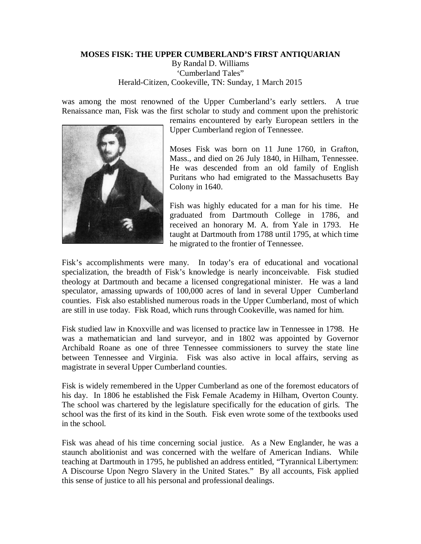## **MOSES FISK: THE UPPER CUMBERLAND'S FIRST ANTIQUARIAN**

By Randal D. Williams 'Cumberland Tales" Herald-Citizen, Cookeville, TN: Sunday, 1 March 2015

was among the most renowned of the Upper Cumberland's early settlers. A true Renaissance man, Fisk was the first scholar to study and comment upon the prehistoric



remains encountered by early European settlers in the Upper Cumberland region of Tennessee.

Moses Fisk was born on 11 June 1760, in Grafton, Mass., and died on 26 July 1840, in Hilham, Tennessee. He was descended from an old family of English Puritans who had emigrated to the Massachusetts Bay Colony in 1640.

Fish was highly educated for a man for his time. He graduated from Dartmouth College in 1786, and received an honorary M. A. from Yale in 1793. He taught at Dartmouth from 1788 until 1795, at which time he migrated to the frontier of Tennessee.

Fisk's accomplishments were many. In today's era of educational and vocational specialization, the breadth of Fisk's knowledge is nearly inconceivable. Fisk studied theology at Dartmouth and became a licensed congregational minister. He was a land speculator, amassing upwards of 100,000 acres of land in several Upper Cumberland counties. Fisk also established numerous roads in the Upper Cumberland, most of which are still in use today. Fisk Road, which runs through Cookeville, was named for him.

Fisk studied law in Knoxville and was licensed to practice law in Tennessee in 1798. He was a mathematician and land surveyor, and in 1802 was appointed by Governor Archibald Roane as one of three Tennessee commissioners to survey the state line between Tennessee and Virginia. Fisk was also active in local affairs, serving as magistrate in several Upper Cumberland counties.

Fisk is widely remembered in the Upper Cumberland as one of the foremost educators of his day. In 1806 he established the Fisk Female Academy in Hilham, Overton County. The school was chartered by the legislature specifically for the education of girls. The school was the first of its kind in the South. Fisk even wrote some of the textbooks used in the school.

Fisk was ahead of his time concerning social justice. As a New Englander, he was a staunch abolitionist and was concerned with the welfare of American Indians. While teaching at Dartmouth in 1795, he published an address entitled, "Tyrannical Libertymen: A Discourse Upon Negro Slavery in the United States." By all accounts, Fisk applied this sense of justice to all his personal and professional dealings.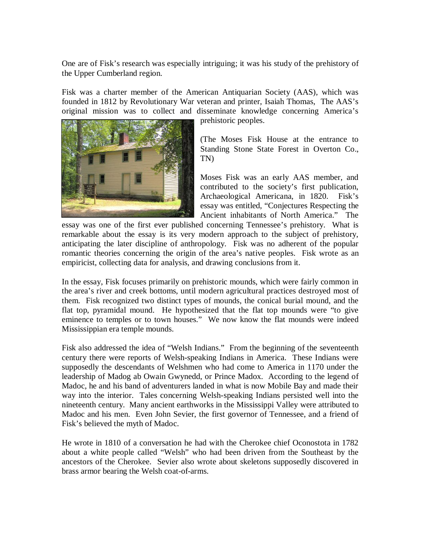One are of Fisk's research was especially intriguing; it was his study of the prehistory of the Upper Cumberland region.

Fisk was a charter member of the American Antiquarian Society (AAS), which was founded in 1812 by Revolutionary War veteran and printer, Isaiah Thomas, The AAS's original mission was to collect and disseminate knowledge concerning America's



prehistoric peoples.

(The Moses Fisk House at the entrance to Standing Stone State Forest in Overton Co., TN)

Moses Fisk was an early AAS member, and contributed to the society's first publication, Archaeological Americana, in 1820. Fisk's essay was entitled, "Conjectures Respecting the Ancient inhabitants of North America." The

essay was one of the first ever published concerning Tennessee's prehistory. What is remarkable about the essay is its very modern approach to the subject of prehistory, anticipating the later discipline of anthropology. Fisk was no adherent of the popular romantic theories concerning the origin of the area's native peoples. Fisk wrote as an empiricist, collecting data for analysis, and drawing conclusions from it.

In the essay, Fisk focuses primarily on prehistoric mounds, which were fairly common in the area's river and creek bottoms, until modern agricultural practices destroyed most of them. Fisk recognized two distinct types of mounds, the conical burial mound, and the flat top, pyramidal mound. He hypothesized that the flat top mounds were "to give eminence to temples or to town houses." We now know the flat mounds were indeed Mississippian era temple mounds.

Fisk also addressed the idea of "Welsh Indians." From the beginning of the seventeenth century there were reports of Welsh-speaking Indians in America. These Indians were supposedly the descendants of Welshmen who had come to America in 1170 under the leadership of Madog ab Owain Gwynedd, or Prince Madox. According to the legend of Madoc, he and his band of adventurers landed in what is now Mobile Bay and made their way into the interior. Tales concerning Welsh-speaking Indians persisted well into the nineteenth century. Many ancient earthworks in the Mississippi Valley were attributed to Madoc and his men. Even John Sevier, the first governor of Tennessee, and a friend of Fisk's believed the myth of Madoc.

He wrote in 1810 of a conversation he had with the Cherokee chief Oconostota in 1782 about a white people called "Welsh" who had been driven from the Southeast by the ancestors of the Cherokee. Sevier also wrote about skeletons supposedly discovered in brass armor bearing the Welsh coat-of-arms.